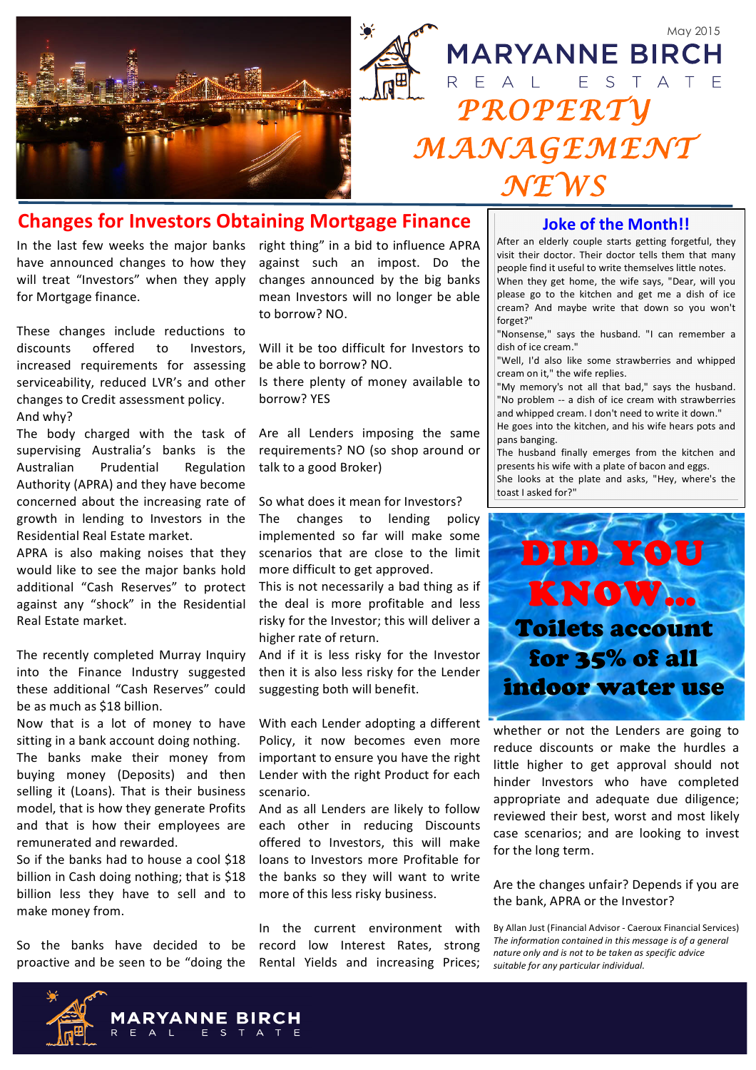

# **Changes for Investors Obtaining Mortgage Finance**

In the last few weeks the major banks have announced changes to how they will treat "Investors" when they apply for Mortgage finance.

These changes include reductions to discounts offered to Investors, increased requirements for assessing serviceability, reduced LVR's and other changes to Credit assessment policy. And why?

The body charged with the task of supervising Australia's banks is the Australian Prudential Regulation Authority (APRA) and they have become concerned about the increasing rate of growth in lending to Investors in the Residential Real Estate market.

APRA is also making noises that they would like to see the major banks hold additional "Cash Reserves" to protect against any "shock" in the Residential Real Estate market.

The recently completed Murray Inquiry into the Finance Industry suggested these additional "Cash Reserves" could be as much as \$18 billion.

Now that is a lot of money to have sitting in a bank account doing nothing. The banks make their money from buying money (Deposits) and then selling it (Loans). That is their business model, that is how they generate Profits and that is how their employees are remunerated and rewarded.

So if the banks had to house a cool \$18 billion in Cash doing nothing; that is \$18 billion less they have to sell and to make money from.

So the banks have decided to be proactive and be seen to be "doing the right thing" in a bid to influence APRA against such an impost. Do the changes announced by the big banks mean Investors will no longer be able to borrow? NO.

Will it be too difficult for Investors to be able to borrow? NO.

Is there plenty of money available to borrow? YES

Are all Lenders imposing the same requirements? NO (so shop around or talk to a good Broker)

So what does it mean for Investors?

The changes to lending policy implemented so far will make some scenarios that are close to the limit more difficult to get approved.

This is not necessarily a bad thing as if the deal is more profitable and less risky for the Investor: this will deliver a higher rate of return.

And if it is less risky for the Investor then it is also less risky for the Lender suggesting both will benefit.

With each Lender adopting a different Policy, it now becomes even more important to ensure you have the right Lender with the right Product for each scenario.

And as all Lenders are likely to follow each other in reducing Discounts offered to Investors, this will make loans to Investors more Profitable for the banks so they will want to write more of this less risky business.

In the current environment with record low Interest Rates, strong Rental Yields and increasing Prices;

### **Joke of the Month!!**

After an elderly couple starts getting forgetful, they visit their doctor. Their doctor tells them that many people find it useful to write themselves little notes. When they get home, the wife says, "Dear, will you please go to the kitchen and get me a dish of ice cream? And maybe write that down so you won't forget?"

"Nonsense," says the husband. "I can remember a dish of ice cream."

"Well, I'd also like some strawberries and whipped cream on it," the wife replies.

"My memory's not all that bad," says the husband. "No problem -- a dish of ice cream with strawberries and whipped cream. I don't need to write it down."

He goes into the kitchen, and his wife hears pots and pans banging.

The husband finally emerges from the kitchen and presents his wife with a plate of bacon and eggs. She looks at the plate and asks, "Hey, where's the toast I asked for?"



whether or not the Lenders are going to reduce discounts or make the hurdles a little higher to get approval should not hinder Investors who have completed appropriate and adequate due diligence; reviewed their best, worst and most likely case scenarios; and are looking to invest for the long term.

Are the changes unfair? Depends if you are the bank, APRA or the Investor?

By Allan Just (Financial Advisor - Caeroux Financial Services) The information contained in this message is of a general nature only and is not to be taken as specific advice suitable for any particular individual.